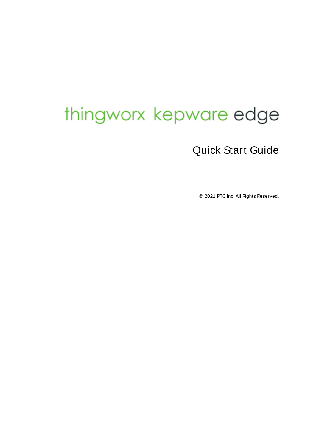# <span id="page-0-0"></span>thingworx kepware edge

# Quick Start Guide

© 2021 PTC Inc. All Rights Reserved.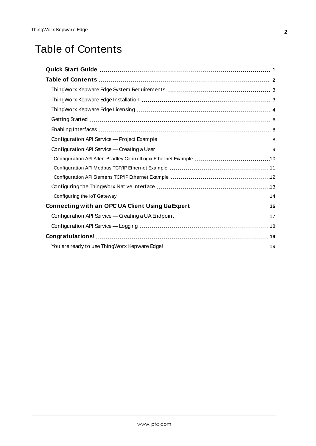# <span id="page-1-0"></span>Table of Contents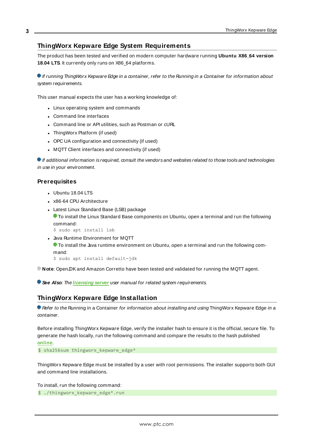# <span id="page-2-0"></span>**ThingWorx Kepware Edge System Requirements**

The product has been tested and verified on modern computer hardware running **Ubuntu X86\_64 version 18.04 LTS**. It currently only runs on X86\_64 platforms.

**If running ThingWorx Kepware Edge in a container, refer to the Running in a Container for information about** system requirements.

This user manual expects the user has a working knowledge of:

- Linux operating system and commands
- Command line interfaces
- Command line or API utilities, such as Postman or cURL
- ThingWorx Platform (if used)
- OPC UA configuration and connectivity (if used)
- MQTT Client interfaces and connectivity (if used)

 $\bullet$  If additional information is required, consult the vendors and websites related to those tools and technologies in use in your environment.

#### **Prerequisites**

- Ubuntu 18.04 LTS
- x86-64 CPU Architecture
- Latest Linux Standard Base (LSB) package

To install the Linux Standard Base components on Ubuntu, open a terminal and run the following command:

\$ sudo apt install lsb

- Java Runtime Environment for MQTT
	- **T** To install the Java runtime environment on Ubuntu, open a terminal and run the following command:

\$ sudo apt install default-jdk

**Note**: OpenJDKand Amazon Corretto have been tested and validated for running the MQTT agent.

<span id="page-2-1"></span>**See Also:** The **[licensing](http://kepware.com/en-us/products/thingworx-kepware-edge/documents/thingworx-kepware-edge-license-server/) server** user manual for related system requirements.

# **ThingWorx Kepware Edge Installation**

Refer to the Running in a Container for information about installing and using ThingWorx Kepware Edge in a container.

Before installing ThingWorx Kepware Edge, verify the installer hash to ensure it is the official, secure file. To generate the hash locally, run the following command and compare the results to the hash published **[online](https://www.kepware.com/en-us/support/knowledge-base/2014/how-do-i-ensure-that-my-installation-download-is-v/)**.

\$ sha256sum thingworx\_kepware\_edge\*

ThingWorx Kepware Edge must be installed by a user with root permissions. The installer supports both GUI and command line installations.

To install, run the following command:

\$ ./thingworx kepware edge\*.run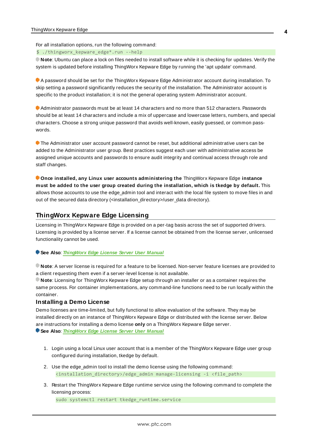For all installation options, run the following command:

\$ ./thingworx\_kepware\_edge\*.run --help

**Note**: Ubuntu can place a lock on files needed to install software while it is checking for updates. Verify the system is updated before installing ThingWorx Kepware Edge by running the 'apt update' command.

A password should be set for the ThingWorx Kepware Edge Administrator account during installation. To skip setting a password significantly reduces the security of the installation. The Administrator account is specific to the product installation; it is not the general operating system Administrator account.

Administrator passwords must be at least 14 characters and no more than 512 characters. Passwords should be at least 14 characters and include a mix of uppercase and lowercase letters, numbers, and special characters. Choose a strong unique password that avoids well-known, easily guessed, or common passwords.

The Administrator user account password cannot be reset, but additional administrative users can be added to the Administrator user group. Best practices suggest each user with administrative access be assigned unique accounts and passwords to ensure audit integrity and continual access through role and staff changes.

**Once installed, any Linux user accounts administering the** ThingWorx Kepware Edge **instance must be added to the user group created during the installation, which is tkedge by default.** This allows those accounts to use the edge\_admin tool and interact with the local file system to move files in and out of the secured data directory (<installation\_directory>/user\_data directory).

# <span id="page-3-0"></span>**ThingWorx Kepware Edge Licensing**

Licensing in ThingWorx Kepware Edge is provided on a per-tag basis across the set of supported drivers. Licensing is provided by a license server. If a license cannot be obtained from the license server, unlicensed functionality cannot be used.

#### **See Also**: **[ThingWorx](https://kepware.com/getdoc/72568077-d563-421c-a44f-8ff330282664/ThingWorx-Kepware-Edge-License-Server.aspx) Edge License Server User Manual**

**Note**: A server license is required for a feature to be licensed. Non-server feature licenses are provided to a client requesting them even if a server-level license is not available.

**Note**: Licensing for ThingWorx Kepware Edge setup through an installer or as a container requires the same process. For container implementations, any command-line functions need to be run locally within the container.

#### **Installing a Demo License**

Demo licenses are time-limited, but fully functional to allow evaluation of the software. They may be installed directly on an instance of ThingWorx Kepware Edge or distributed with the license server. Below are instructions for installing a demo license **only** on a ThingWorx Kepware Edge server. **See Also**: **[ThingWorx](https://kepware.com/getdoc/72568077-d563-421c-a44f-8ff330282664/ThingWorx-Kepware-Edge-License-Server.aspx) Edge License Server User Manual**

- 1. Login using a local Linux user account that is a member of the ThingWorx Kepware Edge user group configured during installation, tkedge by default.
- 2. Use the edge\_admin tool to install the demo license using the following command: <installation\_directory>/edge\_admin manage-licensing -i <file\_path>
- 3. Restart the ThingWorx Kepware Edge runtime service using the following command to complete the licensing process:

sudo systemctl restart tkedge runtime.service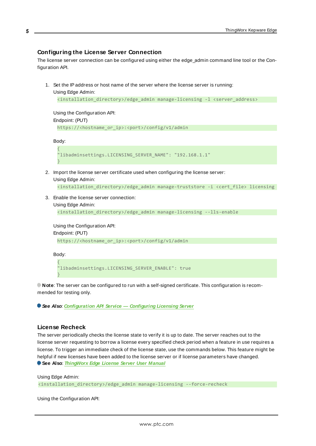# **Configuring the License Server Connection**

The license server connection can be configured using either the edge\_admin command line tool or the Configuration API.

1. Set the IPaddress or host name of the server where the license server is running:

```
Using Edge Admin:
 <installation_directory>/edge_admin manage-licensing -l <server_address>
```
Using the Configuration API: Endpoint: (PUT)

https://<hostname\_or\_ip>:<port>/config/v1/admin

Body:

```
{
"libadminsettings.LICENSING_SERVER_NAME": "192.168.1.1"
}
```
2. Import the license server certificate used when configuring the license server:

Using Edge Admin:

```
<installation_directory>/edge_admin manage-truststore -i <cert_file> licensing
```
3. Enable the license server connection:

```
Using Edge Admin:
```

```
<installation_directory>/edge_admin manage-licensing --lls-enable
```
Using the Configuration API:

Endpoint: (PUT)

https://<hostname\_or\_ip>:<port>/config/v1/admin

Body: {

}

"libadminsettings.LICENSING\_SERVER\_ENABLE": true

**Note**: The server can be configured to run with a self-signed certificate. This configuration is recommended for testing only.

**See Also**: **Configuration API Service — Configuring Licensing Server**

# **License Recheck**

The server periodically checks the license state to verify it is up to date. The server reaches out to the license server requesting to borrow a license every specified check period when a feature in use requires a license. To trigger an immediate check of the license state, use the commands below. This feature might be helpful if new licenses have been added to the license server or if license parameters have changed. **See Also**: **[ThingWorx](https://kepware.com/getdoc/72568077-d563-421c-a44f-8ff330282664/ThingWorx-Kepware-Edge-License-Server.aspx) Edge License Server User Manual**

Using Edge Admin: <installation\_directory>/edge\_admin manage-licensing --force-recheck

Using the Configuration API: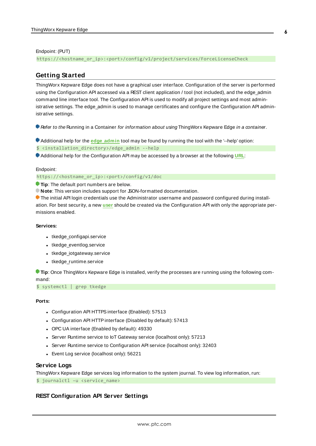#### Endpoint: (PUT)

<span id="page-5-0"></span>https://<hostname\_or\_ip>:<port>/config/v1/project/services/ForceLicenseCheck

# **Getting Started**

ThingWorx Kepware Edge does not have a graphical user interface. Configuration of the server is performed using the Configuration API accessed via a REST client application / tool (not included), and the edge\_admin command line interface tool. The Configuration API is used to modify all project settings and most administrative settings. The edge\_admin is used to manage certificates and configure the Configuration API administrative settings.

Refer to the Running in a Container for information about using ThingWorx Kepware Edge in a container.

Additional help for the **edge\_admin** tool may be found by running the tool with the '--help' option:

\$ <installation\_directory>/edge\_admin --help

Additional help for the Configuration API may be accessed by a browser at the following **URL**:

#### Endpoint:

https://<hostname\_or\_ip>:<port>/config/v1/doc

**Tip**: The default port numbers are below.

**Note:** This version includes support for SON-formatted documentation.

The initial API login credentials use the Administrator username and password configured during installation. For best security, a new **[user](#page-8-0)** should be created via the Configuration API with only the appropriate permissions enabled.

#### **Services:**

- tkedge\_configapi.service
- tkedge\_eventlog.service
- tkedge\_iotgateway.service
- tkedge runtime.service

**Tip**: Once ThingWorx Kepware Edge is installed, verify the processes are running using the following command:

\$ systemctl | grep tkedge

#### **Ports:**

- Configuration API HTTPS interface (Enabled): 57513
- Configuration API HTTP interface (Disabled by default): 57413
- OPC UA interface (Enabled by default): 49330
- Server Runtime service to IoT Gateway service (localhost only): 57213
- Server Runtime service to Configuration API service (localhost only): 32403
- Event Log service (localhost only): 56221

#### **Service Logs**

ThingWorx Kepware Edge services log information to the system journal. To view log information, run: \$ journalctl –u <service\_name>

#### **REST Configuration API Server Settings**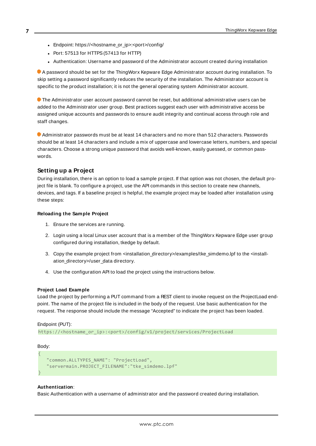- Endpoint: https://<hostname\_or\_ip>:<port>/config/
- Port: 57513 for HTTPS (57413 for HTTP)
- Authentication: Username and password of the Administrator account created during installation

A password should be set for the ThingWorx Kepware Edge Administrator account during installation. To skip setting a password significantly reduces the security of the installation. The Administrator account is specific to the product installation; it is not the general operating system Administrator account.

The Administrator user account password cannot be reset, but additional administrative users can be added to the Administrator user group. Best practices suggest each user with administrative access be assigned unique accounts and passwords to ensure audit integrity and continual access through role and staff changes.

Administrator passwords must be at least 14 characters and no more than 512 characters. Passwords should be at least 14 characters and include a mix of uppercase and lowercase letters, numbers, and special characters. Choose a strong unique password that avoids well-known, easily guessed, or common passwords.

# **Setting up a Project**

During installation, there is an option to load a sample project. If that option was not chosen, the default project file is blank. To configure a project, use the API commands in this section to create new channels, devices, and tags. If a baseline project is helpful, the example project may be loaded after installation using these steps:

#### **Reloading the Sample Project**

- 1. Ensure the services are running.
- 2. Login using a local Linux user account that is a member of the ThingWorx Kepware Edge user group configured during installation, tkedge by default.
- 3. Copy the example project from <installation\_directory>/examples/tke\_simdemo.lpf to the <installation\_directory>/user\_data directory.
- 4. Use the configuration API to load the project using the instructions below.

#### **Project Load Example**

Load the project by performing a PUT command from a REST client to invoke request on the ProjectLoad endpoint. The name of the project file is included in the body of the request. Use basic authentication for the request. The response should include the message "Accepted" to indicate the project has been loaded.

#### Endpoint (PUT):

https://<hostname\_or\_ip>:<port>/config/v1/project/services/ProjectLoad

#### Body:

{

}

```
 "common.ALLTYPES_NAME": "ProjectLoad",
 "servermain.PROJECT_FILENAME":"tke_simdemo.lpf"
```
#### **Authentication**:

Basic Authentication with a username of administrator and the password created during installation.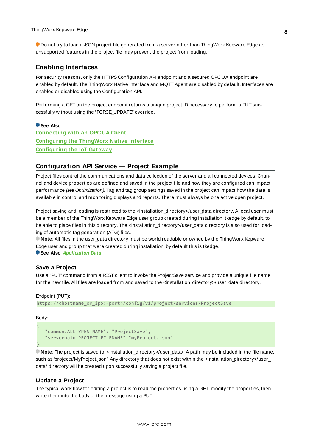Do not try to load a JSON project file generated from a server other than ThingWorx Kepware Edge as unsupported features in the project file may prevent the project from loading.

# <span id="page-7-0"></span>**Enabling Interfaces**

For security reasons, only the HTTPS Configuration API endpoint and a secured OPC UA endpoint are enabled by default. The ThingWorx Native Interface and MQTT Agent are disabled by default. Interfaces are enabled or disabled using the Configuration API.

Performing a GET on the project endpoint returns a unique project ID necessary to perform a PUT successfully without using the "FORCE\_UPDATE" override.

#### **See Also**:

**[Connecting](#page-15-0) with an OPC UA Client [Configuring](#page-12-0) the ThingWorx Native Interface [Configuring](#page-13-0) the IoT Gateway**

# <span id="page-7-1"></span>**Configuration API Service — Project Example**

Project files control the communications and data collection of the server and all connected devices. Channel and device properties are defined and saved in the project file and how they are configured can impact performance (see Optimization). Tag and tag group settings saved in the project can impact how the data is available in control and monitoring displays and reports. There must always be one active open project.

Project saving and loading is restricted to the <installation\_directory>/user\_data directory. A local user must be a member of the ThingWorx Kepware Edge user group created during installation, tkedge by default, to be able to place files in this directory. The <installation\_directory>/user\_data directory is also used for loading of automatic tag generation (ATG) files.

**Note**: All files in the user\_data directory must be world readable or owned by the ThingWorx Kepware Edge user and group that were created during installation, by default this is tkedge. **See Also**: **Application Data**

#### **Save a Project**

Use a "PUT" command from a REST client to invoke the ProjectSave service and provide a unique file name for the new file. All files are loaded from and saved to the <installation\_directory>/user\_data directory.

#### Endpoint (PUT):

```
https://<hostname_or_ip>:<port>/config/v1/project/services/ProjectSave
```
#### Body:

{

}

```
 "common.ALLTYPES_NAME": "ProjectSave",
 "servermain.PROJECT_FILENAME":"myProject.json"
```
**Note:** The project is saved to: <installation\_directory>/user\_data/. A path may be included in the file name, such as 'projects/MyProject.json'. Any directory that does not exist within the <installation\_directory>/user\_ data/ directory will be created upon successfully saving a project file.

# **Update a Project**

The typical work flow for editing a project is to read the properties using a GET, modify the properties, then write them into the body of the message using a PUT.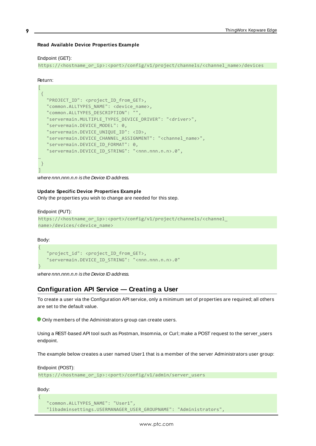#### **Read Available Device Properties Example**

#### Endpoint (GET):

https://<hostname\_or\_ip>:<port>/config/v1/project/channels/<channel\_name>/devices

#### Return:

| "PROJECT_ID": <project_id_from_get>,</project_id_from_get>               |
|--------------------------------------------------------------------------|
| "common.ALLTYPES_NAME": <device_name>,</device_name>                     |
| "common.ALLTYPES_DESCRIPTION": "",                                       |
| "servermain.MULTIPLE_TYPES_DEVICE_DRIVER": " <driver>",</driver>         |
| "servermain.DEVICE MODEL": 0,                                            |
| "servermain.DEVICE UNIQUE ID": <id>,</id>                                |
| "servermain. DEVICE CHANNEL ASSIGNMENT": " <channel name="">",</channel> |
| "servermain.DEVICE ID FORMAT": 0,                                        |
| "servermain.DEVICE_ID_STRING": " <nnn.nnn.n.n>.0",</nnn.nnn.n.n>         |
|                                                                          |
|                                                                          |
|                                                                          |

where nnn.nnn.n.n is the Device ID address.

#### **Update Specific Device Properties Example**

Only the properties you wish to change are needed for this step.

#### Endpoint (PUT):

```
https://<hostname_or_ip>:<port>/config/v1/project/channels/<channel
name>/devices/<device_name>
```
Body:

```
{
  "project id": <project ID from GET>,
  "servermain.DEVICE_ID_STRING": "<nnn.nnn.n.n>.0"
}
```
<span id="page-8-0"></span>where nnn.nnn.n.n is the Device ID address.

# **Configuration API Service — Creating a User**

To create a user via the Configuration API service, only a minimum set of properties are required; all others are set to the default value.

Only members of the Administrators group can create users.

Using a REST-based API tool such as Postman, Insomnia, or Curl; make a POST request to the server\_users endpoint.

The example below creates a user named User1 that is a member of the server Administrators user group:

```
Endpoint (POST):
https://<hostname_or_ip>:<port>/config/v1/admin/server_users
```
Body: {

```
 "common.ALLTYPES_NAME": "User1",
 "libadminsettings.USERMANAGER_USER_GROUPNAME": "Administrators",
```
**9**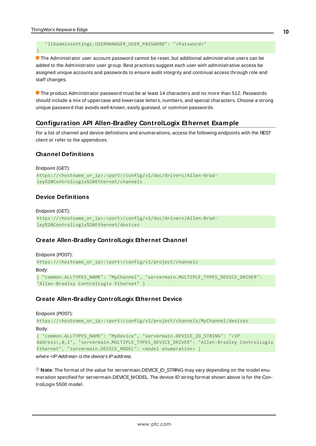}

"libadminsettings.USERMANAGER\_USER\_PASSWORD": "<Password>"

 The Administrator user account password cannot be reset, but additional administrative users can be added to the Administrator user group. Best practices suggest each user with administrative access be assigned unique accounts and passwords to ensure audit integrity and continual access through role and staff changes.

 The product Administrator password must be at least 14 characters and no more than 512. Passwords should include a mix of uppercase and lowercase letters, numbers, and special characters. Choose a strong unique password that avoids well-known, easily guessed, or common passwords.

# <span id="page-9-0"></span>**Configuration API Allen-Bradley ControlLogix Ethernet Example**

For a list of channel and device definitions and enumerations, access the following endpoints with the REST client or refer to the appendices.

# **Channel Definitions**

```
Endpoint (GET):
https://<hostname_or_ip>:<port>/config/v1/doc/drivers/Allen-Brad-
ley%20ControlLogix%20Ethernet/channels
```
# **Device Definitions**

Endpoint (GET): https://<hostname\_or\_ip>:<port>/config/v1/doc/drivers/Allen-Bradley%20ControlLogix%20Ethernet/devices

# **Create Allen-Bradley ControlLogix Ethernet Channel**

```
Endpoint (POST):
https://<hostname_or_ip>:<port>/config/v1/project/channels
Body:
{ "common.ALLTYPES_NAME": "MyChannel", "servermain.MULTIPLE_TYPES_DEVICE_DRIVER":
"Allen-Bradley ControlLogix Ethernet" }
```
# **Create Allen-Bradley ControlLogix Ethernet Device**

```
Endpoint (POST):
```

```
https://<hostname_or_ip>:<port>/config/v1/project/channels/MyChannel/devices
Body:
```

```
{ "common.ALLTYPES_NAME": "MyDevice", "servermain.DEVICE_ID_STRING": "<IP
Address>,0,1", "servermain.MULTIPLE_TYPES_DEVICE_DRIVER": "Allen-Bradley ControlLogix
Ethernet", "servermain.DEVICE_MODEL": <model enumeration> }
```
where <IP Address> is the device's IP address.

**Note:** The format of the value for servermain.DEVICE ID STRING may vary depending on the model enumeration specified for servermain.DEVICE\_MODEL. The device ID string format shown above is for the ControlLogix 5500 model.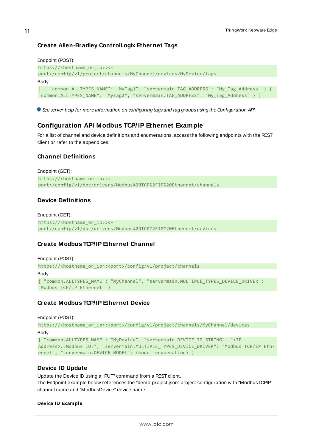# **Create Allen-Bradley ControlLogix Ethernet Tags**

```
Endpoint (POST):
https://<hostname_or_ip>:<-
port>/config/v1/project/channels/MyChannel/devices/MyDevice/tags
Body:
[ { "common.ALLTYPES_NAME": "MyTag1", "servermain.TAG_ADDRESS": "My_Tag_Address" } { 
"common.ALLTYPES_NAME": "MyTag2", "servermain.TAG_ADDRESS": "My_Tag_Address" } ]
```
<span id="page-10-0"></span>See server help for more information on configuring tags and tag groups using the Configuration API.

# **Configuration API Modbus TCP/ IP Ethernet Example**

For a list of channel and device definitions and enumerations, access the following endpoints with the REST client or refer to the appendices.

# **Channel Definitions**

```
Endpoint (GET):
https://<hostname_or_ip>:<-
port>/config/v1/doc/drivers/Modbus%20TCP%2FIP%20Ethernet/channels
```
# **Device Definitions**

Endpoint (GET): https://<hostname\_or\_ip>:<port>/config/v1/doc/drivers/Modbus%20TCP%2FIP%20Ethernet/devices

# **Create Modbus TCP/IP Ethernet Channel**

```
Endpoint (POST):
https://<hostname_or_ip>:<port>/config/v1/project/channels
Body:
{ "common.ALLTYPES_NAME": "MyChannel", "servermain.MULTIPLE_TYPES_DEVICE_DRIVER":
"Modbus TCP/IP Ethernet" }
```
# **Create Modbus TCP/IP Ethernet Device**

```
Endpoint (POST):
```

```
https://<hostname_or_ip>:<port>/config/v1/project/channels/MyChannel/devices
Body:
{ "common.ALLTYPES_NAME": "MyDevice", "servermain.DEVICE_ID_STRING": "<IP
```

```
Address>.<Modbus ID>", "servermain.MULTIPLE_TYPES_DEVICE_DRIVER": "Modbus TCP/IP Eth-
ernet", "servermain.DEVICE MODEL": <model enumeration> }
```
# **Device ID Update**

Update the Device ID using a "PUT" command from a REST client.

The Endpoint example below references the "demo-project.json" project configuration with "ModbusTCPIP" channel name and "ModbusDevice" device name.

#### **Device ID Example**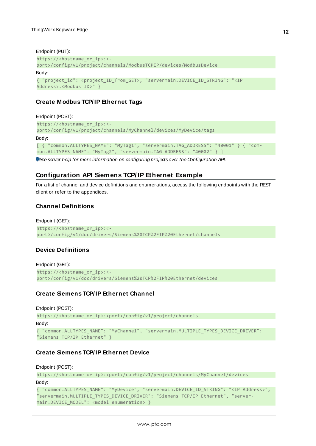```
Endpoint (PUT):
https://<hostname_or_ip>:<-
port>/config/v1/project/channels/ModbusTCPIP/devices/ModbusDevice
Body:
{ "project_id": <project_ID_from_GET>, "servermain.DEVICE_ID_STRING": "<IP
Address>.<Modbus ID>" }
```
# **Create Modbus TCP/IP Ethernet Tags**

```
Endpoint (POST):
https://<hostname_or_ip>:<-
port>/config/v1/project/channels/MyChannel/devices/MyDevice/tags
Body:
[ { "common.ALLTYPES_NAME": "MyTag1", "servermain.TAG_ADDRESS": "40001" } { "com-
mon.ALLTYPES_NAME": "MyTag2", "servermain.TAG_ADDRESS": "40002" } ]
```
<span id="page-11-0"></span>See server help for more information on configuring projects over the Configuration API.

# **Configuration API Siemens TCP/ IP Ethernet Example**

For a list of channel and device definitions and enumerations, access the following endpoints with the REST client or refer to the appendices.

# **Channel Definitions**

```
Endpoint (GET):
https://<hostname_or_ip>:<-
port>/config/v1/doc/drivers/Siemens%20TCP%2FIP%20Ethernet/channels
```
# **Device Definitions**

```
Endpoint (GET):
https://<hostname_or_ip>:<-
port>/config/v1/doc/drivers/Siemens%20TCP%2FIP%20Ethernet/devices
```
# **Create Siemens TCP/IP Ethernet Channel**

```
Endpoint (POST):
https://<hostname_or_ip>:<port>/config/v1/project/channels
Body:
{ "common.ALLTYPES_NAME": "MyChannel", "servermain.MULTIPLE_TYPES_DEVICE_DRIVER":
"Siemens TCP/IP Ethernet" }
```
# **Create Siemens TCP/IP Ethernet Device**

Endpoint (POST):

```
https://<hostname_or_ip>:<port>/config/v1/project/channels/MyChannel/devices
Body:
{ "common.ALLTYPES_NAME": "MyDevice", "servermain.DEVICE_ID_STRING": "<IP Address>",
"servermain.MULTIPLE_TYPES_DEVICE_DRIVER": "Siemens TCP/IP Ethernet", "server-
main.DEVICE_MODEL": <model enumeration> }
```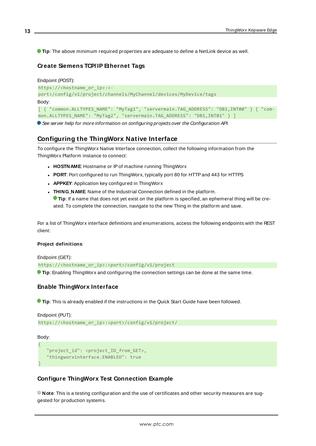**Tip**: The above minimum required properties are adequate to define a NetLink device as well.

# **Create Siemens TCP/IP Ethernet Tags**

```
Endpoint (POST):
https://<hostname_or_ip>:<-
port>/config/v1/project/channels/MyChannel/devices/MyDevice/tags
Body:
[ { "common.ALLTYPES_NAME": "MyTag1", "servermain.TAG_ADDRESS": "DB1,INT00" } { "com-
mon.ALLTYPES_NAME": "MyTag2", "servermain.TAG_ADDRESS": "DB1,INT01" } ]
```
<span id="page-12-0"></span>See server help for more information on configuring projects over the Configuration API.

# **Configuring the ThingWorx Native Interface**

To configure the ThingWorx Native Interface connection, collect the following information from the ThingWorx Platform instance to connect:

- **HOSTNAME:** Hostname or IP of machine running ThingWorx
- **PORT**: Port configured to run ThingWorx, typically port 80 for HTTP and 443 for HTTPS
- **APPKEY:** Application key configured in ThingWorx
- **. THING\_NAME:** Name of the Industrial Connection defined in the platform.

**Tip**: If a name that does not yet exist on the platform is specified, an ephemeral thing will be created. To complete the connection, navigate to the new Thing in the platform and save.

For a list of ThingWorx interface definitions and enumerations, access the following endpoints with the REST client:

#### **Project definitions**:

Endpoint (GET):

https://<hostname\_or\_ip>:<port>/config/v1/project

**Tip**: Enabling ThingWorx and configuring the connection settings can be done at the same time.

# **Enable ThingWorx Interface**

**Tip**: This is already enabled if the instructions in the Quick Start Guide have been followed.

```
Endpoint (PUT):
https://<hostname_or_ip>:<port>/config/v1/project/
```
Body:

{

}

```
"project id": <project ID from GET>,
 "thingworxinterface.ENABLED": true
```
# **Configure ThingWorx Test Connection Example**

**Note**: This is a testing configuration and the use of certificates and other security measures are suggested for production systems.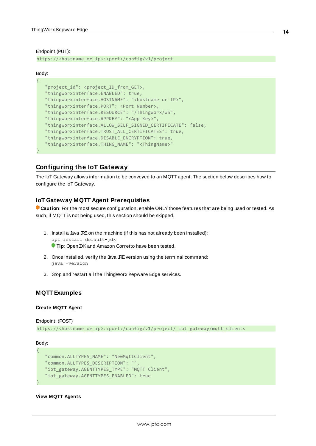Endpoint (PUT):

https://<hostname\_or\_ip>:<port>/config/v1/project

#### Body:

{

<span id="page-13-0"></span>}

| "project_id": <project_id_from_get>,</project_id_from_get>           |
|----------------------------------------------------------------------|
| "thingworxinterface.ENABLED": true,                                  |
| "thingworxinterface.HOSTNAME": " <hostname ip="" or="">",</hostname> |
| "thingworxinterface.PORT": <port number="">,</port>                  |
| "thingworxinterface.RESOURCE": "/ThingWorx/WS",                      |
| "thingworxinterface.APPKEY": " <app key="">",</app>                  |
| "thingworxinterface.ALLOW SELF SIGNED CERTIFICATE": false,           |
| "thingworxinterface. TRUST ALL CERTIFICATES": true,                  |
| "thingworxinterface.DISABLE ENCRYPTION": true,                       |
| "thingworxinterface. THING NAME": " <thingname>"</thingname>         |
|                                                                      |

# **Configuring the IoT Gateway**

The IoT Gateway allows information to be conveyed to an MQTT agent. The section below describes how to configure the IoT Gateway.

# **IoT Gateway MQTT Agent Prerequisites**

**Caution**: For the most secure configuration, enable ONLYthose features that are being used or tested. As such, if MQTT is not being used, this section should be skipped.

- 1. Install a Java JRE on the machine (if this has not already been installed): apt install default-jdk **Tip**: OpenJDKand Amazon Corretto have been tested.
- 2. Once installed, verify the Java JRE version using the terminal command: java –version
- 3. Stop and restart all the ThingWorx Kepware Edge services.

#### **MQTT Examples**

#### **Create MQTT Agent**

```
Endpoint: (POST)
https://<hostname_or_ip>:<port>/config/v1/project/_iot_gateway/mqtt_clients
```
Body:

{

}

```
 "common.ALLTYPES_NAME": "NewMqttClient",
 "common.ALLTYPES_DESCRIPTION": "",
 "iot_gateway.AGENTTYPES_TYPE": "MQTT Client",
 "iot_gateway.AGENTTYPES_ENABLED": true
```
#### **View MQTT Agents**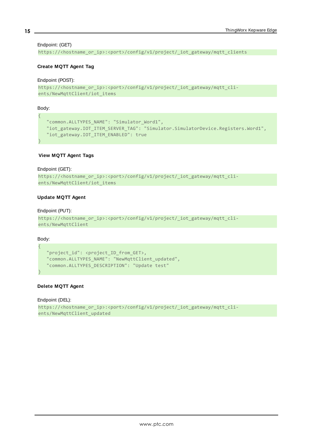#### Endpoint: (GET)

https://<hostname\_or\_ip>:<port>/config/v1/project/\_iot\_gateway/mqtt\_clients

#### **Create MQTT Agent Tag**

#### Endpoint (POST):

```
https://<hostname_or_ip>:<port>/config/v1/project/_iot_gateway/mqtt_cli-
ents/NewMqttClient/iot_items
```
Body:

{

}

```
 "common.ALLTYPES_NAME": "Simulator_Word1",
 "iot_gateway.IOT_ITEM_SERVER_TAG": "Simulator.SimulatorDevice.Registers.Word1",
 "iot_gateway.IOT_ITEM_ENABLED": true
```
#### **View MQTT Agent Tags**

#### Endpoint (GET):

```
https://<hostname_or_ip>:<port>/config/v1/project/_iot_gateway/mqtt_cli-
ents/NewMqttClient/iot_items
```
#### **Update MQTT Agent**

#### Endpoint (PUT):

```
https://<hostname_or_ip>:<port>/config/v1/project/_iot_gateway/mqtt_cli-
ents/NewMqttClient
```
Body:

{

}

```
 "project_id": <project_ID_from_GET>,
 "common.ALLTYPES_NAME": "NewMqttClient_updated",
 "common.ALLTYPES_DESCRIPTION": "Update test"
```
#### **Delete MQTT Agent**

```
Endpoint (DEL):
https://<hostname_or_ip>:<port>/config/v1/project/_iot_gateway/mqtt_cli-
ents/NewMqttClient_updated
```
**15**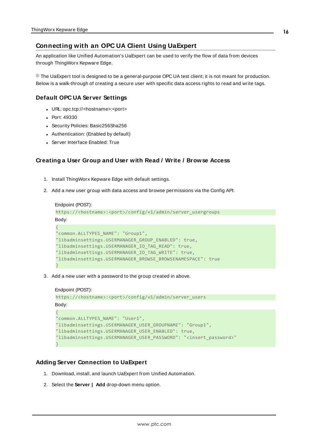# <span id="page-15-0"></span>**Connecting with an OPC UA Client Using UaExpert**

An application like Unified Automation's UaExpert can be used to verify the flow of data from devices through ThingWorx Kepware Edge.

The UaExpert tool is designed to be a general-purpose OPC UA test client; it is not meant for production. Below is a walk-through of creating a secure user with specific data access rights to read and write tags.

# **Default OPC UA Server Settings**

- <sup>l</sup> URL: opc.tcp://<hostname>:<port>
- Port: 49330
- Security Policies: Basic256Sha256
- Authentication: (Enabled by default)
- Server Interface Enabled: True

#### **Creating a User Group and User with Read / Write / Browse Access**

- 1. Install ThingWorx Kepware Edge with default settings.
- 2. Add a new user group with data access and browse permissions via the Config API:

```
Endpoint (POST):
https://<hostname>:<port>/config/v1/admin/server_usergroups
Body:
{
"common.ALLTYPES_NAME": "Group1",
"libadminsettings.USERMANAGER_GROUP_ENABLED": true,
"libadminsettings.USERMANAGER_IO_TAG_READ": true,
"libadminsettings.USERMANAGER_IO_TAG_WRITE": true,
"libadminsettings.USERMANAGER_BROWSE_BROWSENAMESPACE": true
}
```
3. Add a new user with a password to the group created in above.

```
Endpoint (POST):
```

```
https://<hostname>:<port>/config/v1/admin/server_users
Body:
{
"common.ALLTYPES_NAME": "User1",
"libadminsettings.USERMANAGER_USER_GROUPNAME": "Group1",
"libadminsettings.USERMANAGER_USER_ENABLED": true,
"libadminsettings.USERMANAGER_USER_PASSWORD": "<insert_password>"
}
```
# **Adding Server Connection to UaExpert**

- 1. Download, install, and launch UaExpert from Unified Automation.
- 2. Select the **Server | Add** drop-down menu option.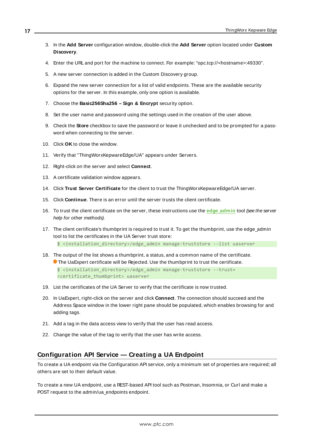- 3. In the **Add Server** configuration window, double-click the **Add Server** option located under **Custom Discovery**.
- 4. Enter the URL and port for the machine to connect. For example: "opc.tcp://<hostname>:49330".
- 5. A new server connection is added in the Custom Discovery group.
- 6. Expand the new server connection for a list of valid endpoints. These are the available security options for the server. In this example, only one option is available.
- 7. Choose the **Basic256Sha256 – Sign & Encrypt** security option.
- 8. Set the user name and password using the settings used in the creation of the user above.
- 9. Check the **Store** checkbox to save the password or leave it unchecked and to be prompted for a password when connecting to the server.
- 10. Click **OK** to close the window.
- 11. Verify that "ThingWorxKepwareEdge/UA" appears under Servers.
- 12. Right-click on the server and select **Connect**.
- 13. A certificate validation window appears.
- 14. Click **Trust Server Certificate** for the client to trust the ThingWorxKepwareEdge/UA server.
- 15. Click **Continue**. There is an error until the server trusts the client certificate.
- 16. To trust the client certificate on the server, these instructions use the **edge\_admin** tool (see the server help for other methods).
- 17. The client certificate's thumbprint is required to trust it. To get the thumbprint, use the edge\_admin tool to list the certificates in the UA Server trust store: \$ <installation\_directory>/edge\_admin manage-truststore --list uaserver
- 18. The output of the list shows a thumbprint, a status, and a common name of the certificate. **The UaExpert certificate will be Rejected. Use the thumbprint to trust the certificate.** \$ <installation\_directory>/edge\_admin manage-truststore --trust= <certificate\_thumbprint> uaserver
- 19. List the certificates of the UA Server to verify that the certificate is now trusted.
- 20. In UaExpert, right-click on the server and click **Connect**. The connection should succeed and the Address Space window in the lower right pane should be populated, which enables browsing for and adding tags.
- 21. Add a tag in the data access view to verify that the user has read access.
- <span id="page-16-0"></span>22. Change the value of the tag to verify that the user has write access.

# **Configuration API Service — Creating a UA Endpoint**

To create a UA endpoint via the Configuration API service, only a minimum set of properties are required; all others are set to their default value.

To create a new UA endpoint, use a REST-based API tool such as Postman, Insomnia, or Curl and make a POST request to the admin/ua\_endpoints endpoint.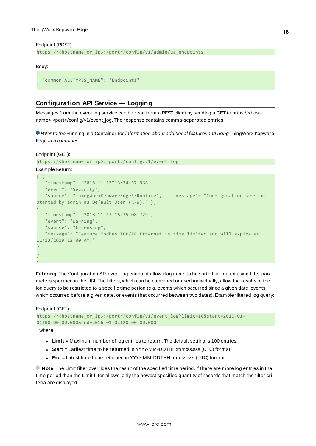#### Endpoint (POST):

```
https://<hostname_or_ip>:<port>/config/v1/admin/ua_endpoints
```
#### Body:

```
{
   "common.ALLTYPES_NAME": "Endpoint1"
}
```
# <span id="page-17-0"></span>**Configuration API Service — Logging**

Messages from the event log service can be read from a REST client by sending a GET to https://<hostname>:<port>/config/v1/event\_log. The response contains comma-separated entries.

Refer to the Running in a Container for information about additional features and using ThingWorx Kepware Edge in a container.

```
Endpoint (GET):
```

```
https://<hostname_or_ip>:<port>/config/v1/event_log
```
Example Return:

```
\lceil \ \ \} "timestamp": "2018-11-13T16:34:57.966",
    "event": "Security",
    "source": "ThingWorxKepwareEdge\\Runtime", "message": "Configuration session
started by admin as Default User (R/W)." },
{
   "timestamp": "2018-11-13T16:35:08.729",
   "event": "Warning",
    "source": "Licensing",
    "message": "Feature Modbus TCP/IP Ethernet is time limited and will expire at
11/13/2019 12:00 AM."
}
…
\overline{1}
```
**Filtering**: The Configuration API event log endpoint allows log items to be sorted or limited using filter parameters specified in the URI. The filters, which can be combined or used individually, allow the results of the log query to be restricted to a specific time period (e.g. events which occurred since a given date, events which occurred before a given date, or events that occurred between two dates). Example filtered log query:

Endpoint (GET):

```
https://<hostname_or_ip>:<port>/config/v1/event_log?limit=10&start=2016-01-
01T00:00:00.000&end=2016-01-02T20:00:00.000
```
where:

- **Limit** = Maximum number of log entries to return. The default setting is 100 entries.
- <sup>l</sup> **Start** = Earliest time to be returned in YYYY-MM-DDTHH:mm:ss.sss (UTC) format.
- **End** = Latest time to be returned in YYYY-MM-DDTHH:mm:ss.sss (UTC) format.

**Note**: The Limit filter overrides the result of the specified time period. If there are more log entries in the time period than the Limit filter allows, only the newest specified quantity of records that match the filter criteria are displayed.